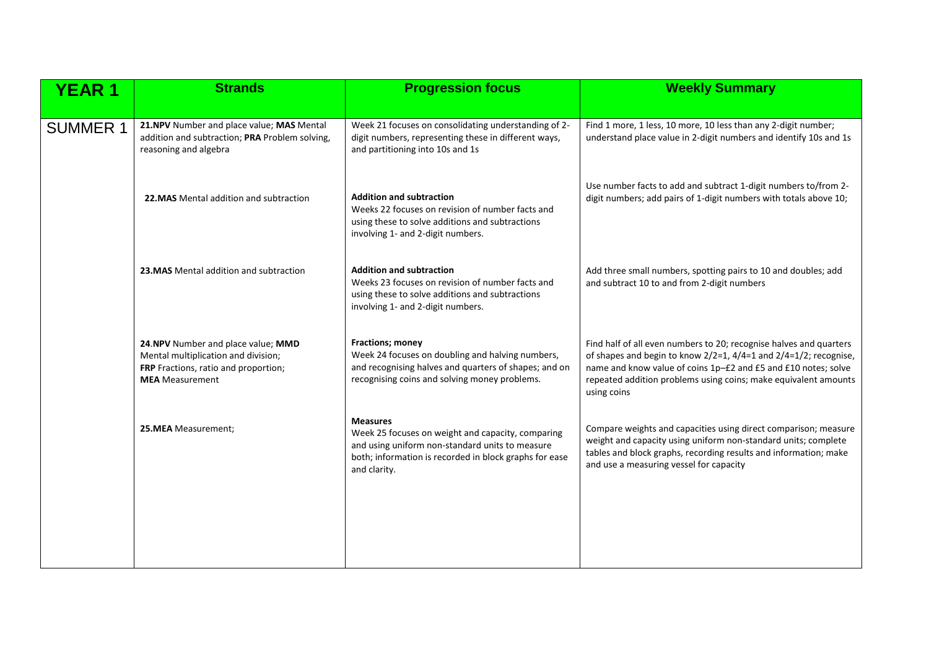| <b>YEAR 1</b>   | <b>Strands</b>                                                                                                                              | <b>Progression focus</b>                                                                                                                                                                          | <b>Weekly Summary</b>                                                                                                                                                                                                                                                                      |
|-----------------|---------------------------------------------------------------------------------------------------------------------------------------------|---------------------------------------------------------------------------------------------------------------------------------------------------------------------------------------------------|--------------------------------------------------------------------------------------------------------------------------------------------------------------------------------------------------------------------------------------------------------------------------------------------|
|                 |                                                                                                                                             |                                                                                                                                                                                                   |                                                                                                                                                                                                                                                                                            |
| <b>SUMMER 1</b> | 21.NPV Number and place value; MAS Mental<br>addition and subtraction; PRA Problem solving,<br>reasoning and algebra                        | Week 21 focuses on consolidating understanding of 2-<br>digit numbers, representing these in different ways,<br>and partitioning into 10s and 1s                                                  | Find 1 more, 1 less, 10 more, 10 less than any 2-digit number;<br>understand place value in 2-digit numbers and identify 10s and 1s                                                                                                                                                        |
|                 | 22. MAS Mental addition and subtraction                                                                                                     | <b>Addition and subtraction</b><br>Weeks 22 focuses on revision of number facts and<br>using these to solve additions and subtractions<br>involving 1- and 2-digit numbers.                       | Use number facts to add and subtract 1-digit numbers to/from 2-<br>digit numbers; add pairs of 1-digit numbers with totals above 10;                                                                                                                                                       |
|                 | 23. MAS Mental addition and subtraction                                                                                                     | <b>Addition and subtraction</b><br>Weeks 23 focuses on revision of number facts and<br>using these to solve additions and subtractions<br>involving 1- and 2-digit numbers.                       | Add three small numbers, spotting pairs to 10 and doubles; add<br>and subtract 10 to and from 2-digit numbers                                                                                                                                                                              |
|                 | 24.NPV Number and place value; MMD<br>Mental multiplication and division;<br>FRP Fractions, ratio and proportion;<br><b>MEA</b> Measurement | Fractions; money<br>Week 24 focuses on doubling and halving numbers,<br>and recognising halves and quarters of shapes; and on<br>recognising coins and solving money problems.                    | Find half of all even numbers to 20; recognise halves and quarters<br>of shapes and begin to know 2/2=1, 4/4=1 and 2/4=1/2; recognise,<br>name and know value of coins 1p-£2 and £5 and £10 notes; solve<br>repeated addition problems using coins; make equivalent amounts<br>using coins |
|                 | 25.MEA Measurement;                                                                                                                         | <b>Measures</b><br>Week 25 focuses on weight and capacity, comparing<br>and using uniform non-standard units to measure<br>both; information is recorded in block graphs for ease<br>and clarity. | Compare weights and capacities using direct comparison; measure<br>weight and capacity using uniform non-standard units; complete<br>tables and block graphs, recording results and information; make<br>and use a measuring vessel for capacity                                           |
|                 |                                                                                                                                             |                                                                                                                                                                                                   |                                                                                                                                                                                                                                                                                            |